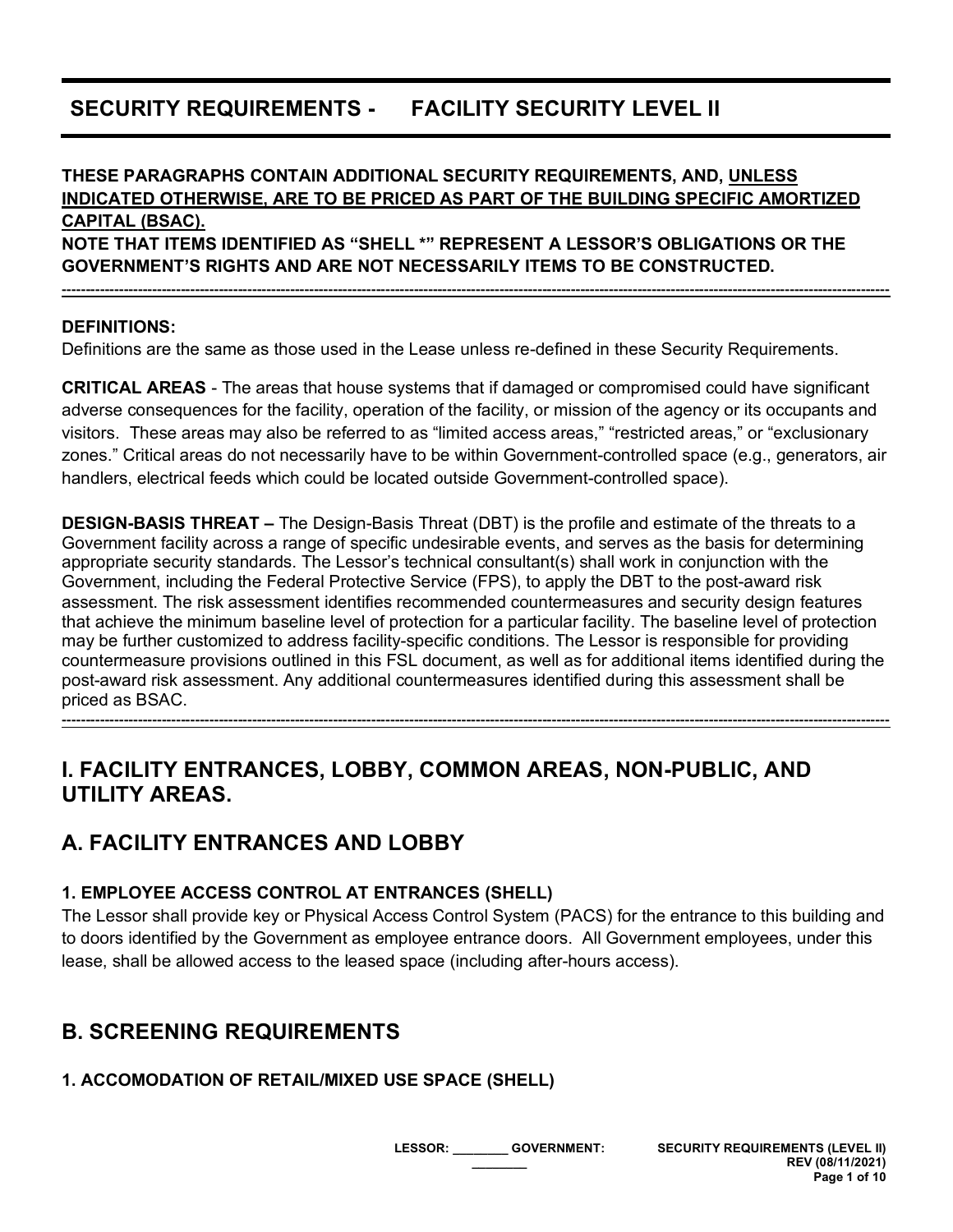# **SECURITY REQUIREMENTS - FACILITY SECURITY LEVEL II**

# **THESE PARAGRAPHS CONTAIN ADDITIONAL SECURITY REQUIREMENTS, AND, UNLESS INDICATED OTHERWISE, ARE TO BE PRICED AS PART OF THE BUILDING SPECIFIC AMORTIZED CAPITAL (BSAC).**

**NOTE THAT ITEMS IDENTIFIED AS "SHELL \*" REPRESENT A LESSOR'S OBLIGATIONS OR THE GOVERNMENT'S RIGHTS AND ARE NOT NECESSARILY ITEMS TO BE CONSTRUCTED.**

**------------------------------------------------------------------------------------------------------------------------------------------------------------------------------**

**DEFINITIONS:**

Definitions are the same as those used in the Lease unless re-defined in these Security Requirements.

**CRITICAL AREAS** - The areas that house systems that if damaged or compromised could have significant adverse consequences for the facility, operation of the facility, or mission of the agency or its occupants and visitors. These areas may also be referred to as "limited access areas," "restricted areas," or "exclusionary zones." Critical areas do not necessarily have to be within Government-controlled space (e.g., generators, air handlers, electrical feeds which could be located outside Government-controlled space).

**DESIGN-BASIS THREAT –** The Design-Basis Threat (DBT) is the profile and estimate of the threats to a Government facility across a range of specific undesirable events, and serves as the basis for determining appropriate security standards. The Lessor's technical consultant(s) shall work in conjunction with the Government, including the Federal Protective Service (FPS), to apply the DBT to the post-award risk assessment. The risk assessment identifies recommended countermeasures and security design features that achieve the minimum baseline level of protection for a particular facility. The baseline level of protection may be further customized to address facility-specific conditions. The Lessor is responsible for providing countermeasure provisions outlined in this FSL document, as well as for additional items identified during the post-award risk assessment. Any additional countermeasures identified during this assessment shall be priced as BSAC.

**------------------------------------------------------------------------------------------------------------------------------------------------------------------------------**

**I. FACILITY ENTRANCES, LOBBY, COMMON AREAS, NON-PUBLIC, AND UTILITY AREAS.**

## **A. FACILITY ENTRANCES AND LOBBY**

#### **1. EMPLOYEE ACCESS CONTROL AT ENTRANCES (SHELL)**

The Lessor shall provide key or Physical Access Control System (PACS) for the entrance to this building and to doors identified by the Government as employee entrance doors. All Government employees, under this lease, shall be allowed access to the leased space (including after-hours access).

## **B. SCREENING REQUIREMENTS**

#### **1. ACCOMODATION OF RETAIL/MIXED USE SPACE (SHELL)**

**LESSOR: \_\_\_\_\_\_\_\_ GOVERNMENT: \_\_\_\_\_\_\_\_**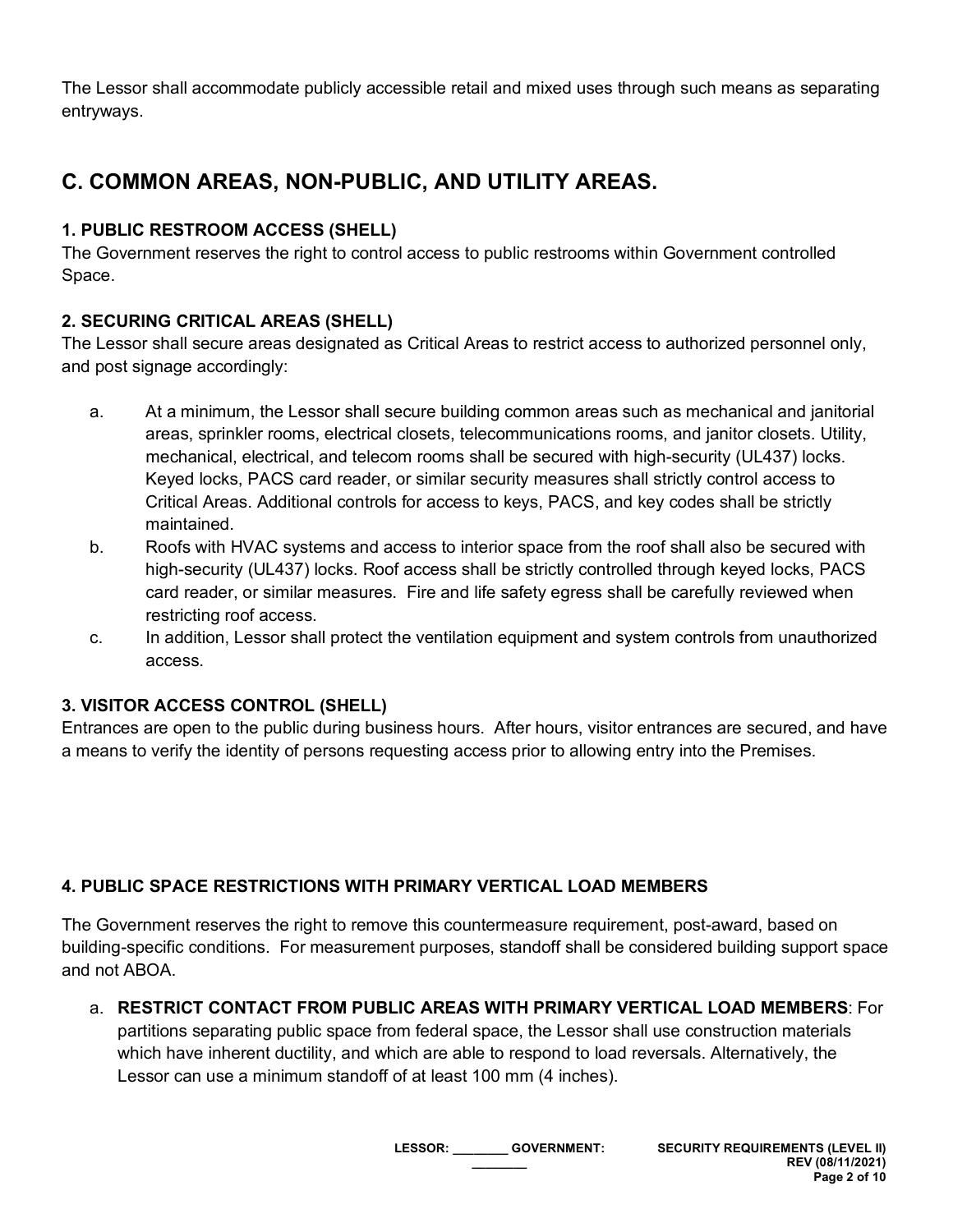The Lessor shall accommodate publicly accessible retail and mixed uses through such means as separating entryways.

# **C. COMMON AREAS, NON-PUBLIC, AND UTILITY AREAS.**

### **1. PUBLIC RESTROOM ACCESS (SHELL)**

The Government reserves the right to control access to public restrooms within Government controlled Space.

### **2. SECURING CRITICAL AREAS (SHELL)**

The Lessor shall secure areas designated as Critical Areas to restrict access to authorized personnel only, and post signage accordingly:

- a. At a minimum, the Lessor shall secure building common areas such as mechanical and janitorial areas, sprinkler rooms, electrical closets, telecommunications rooms, and janitor closets. Utility, mechanical, electrical, and telecom rooms shall be secured with high-security (UL437) locks. Keyed locks, PACS card reader, or similar security measures shall strictly control access to Critical Areas. Additional controls for access to keys, PACS, and key codes shall be strictly maintained.
- b. Roofs with HVAC systems and access to interior space from the roof shall also be secured with high-security (UL437) locks. Roof access shall be strictly controlled through keyed locks, PACS card reader, or similar measures. Fire and life safety egress shall be carefully reviewed when restricting roof access.
- c. In addition, Lessor shall protect the ventilation equipment and system controls from unauthorized access.

#### **3. VISITOR ACCESS CONTROL (SHELL)**

Entrances are open to the public during business hours. After hours, visitor entrances are secured, and have a means to verify the identity of persons requesting access prior to allowing entry into the Premises.

### **4. PUBLIC SPACE RESTRICTIONS WITH PRIMARY VERTICAL LOAD MEMBERS**

The Government reserves the right to remove this countermeasure requirement, post-award, based on building-specific conditions. For measurement purposes, standoff shall be considered building support space and not ABOA.

a. **RESTRICT CONTACT FROM PUBLIC AREAS WITH PRIMARY VERTICAL LOAD MEMBERS**: For

partitions separating public space from federal space, the Lessor shall use construction materials which have inherent ductility, and which are able to respond to load reversals. Alternatively, the Lessor can use a minimum standoff of at least 100 mm (4 inches).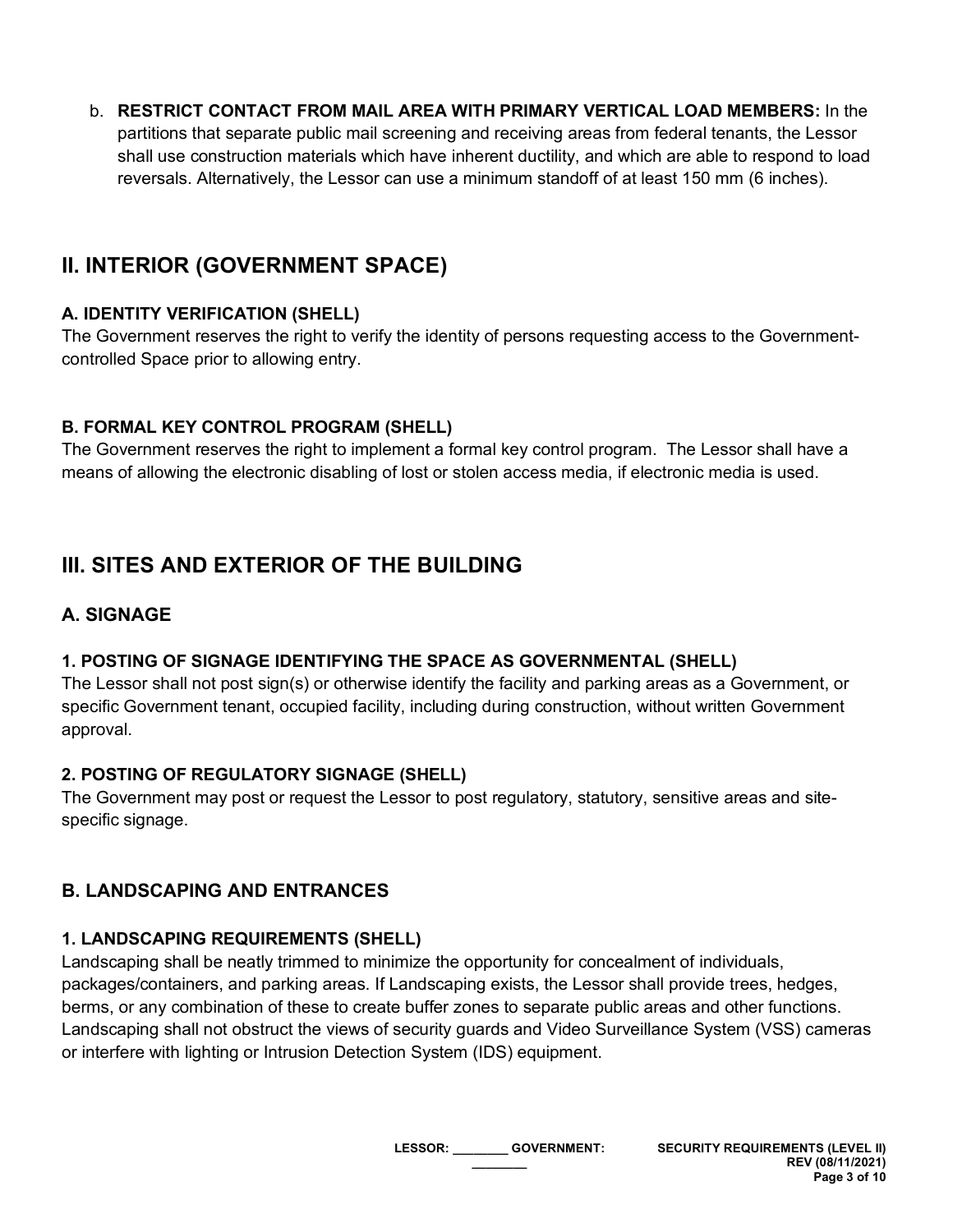b. **RESTRICT CONTACT FROM MAIL AREA WITH PRIMARY VERTICAL LOAD MEMBERS:** In the partitions that separate public mail screening and receiving areas from federal tenants, the Lessor shall use construction materials which have inherent ductility, and which are able to respond to load reversals. Alternatively, the Lessor can use a minimum standoff of at least 150 mm (6 inches).

# **II. INTERIOR (GOVERNMENT SPACE)**

### **A. IDENTITY VERIFICATION (SHELL)**

The Government reserves the right to verify the identity of persons requesting access to the Governmentcontrolled Space prior to allowing entry.

### **B. FORMAL KEY CONTROL PROGRAM (SHELL)**

The Government reserves the right to implement a formal key control program. The Lessor shall have a means of allowing the electronic disabling of lost or stolen access media, if electronic media is used.

# **III. SITES AND EXTERIOR OF THE BUILDING**

## **A. SIGNAGE**

### **1. POSTING OF SIGNAGE IDENTIFYING THE SPACE AS GOVERNMENTAL (SHELL)**

The Lessor shall not post sign(s) or otherwise identify the facility and parking areas as a Government, or specific Government tenant, occupied facility, including during construction, without written Government approval.

### **2. POSTING OF REGULATORY SIGNAGE (SHELL)**

The Government may post or request the Lessor to post regulatory, statutory, sensitive areas and sitespecific signage.

## **B. LANDSCAPING AND ENTRANCES**

### **1. LANDSCAPING REQUIREMENTS (SHELL)**

Landscaping shall be neatly trimmed to minimize the opportunity for concealment of individuals, packages/containers, and parking areas. If Landscaping exists, the Lessor shall provide trees, hedges, berms, or any combination of these to create buffer zones to separate public areas and other functions. Landscaping shall not obstruct the views of security guards and Video Surveillance System (VSS) cameras or interfere with lighting or Intrusion Detection System (IDS) equipment.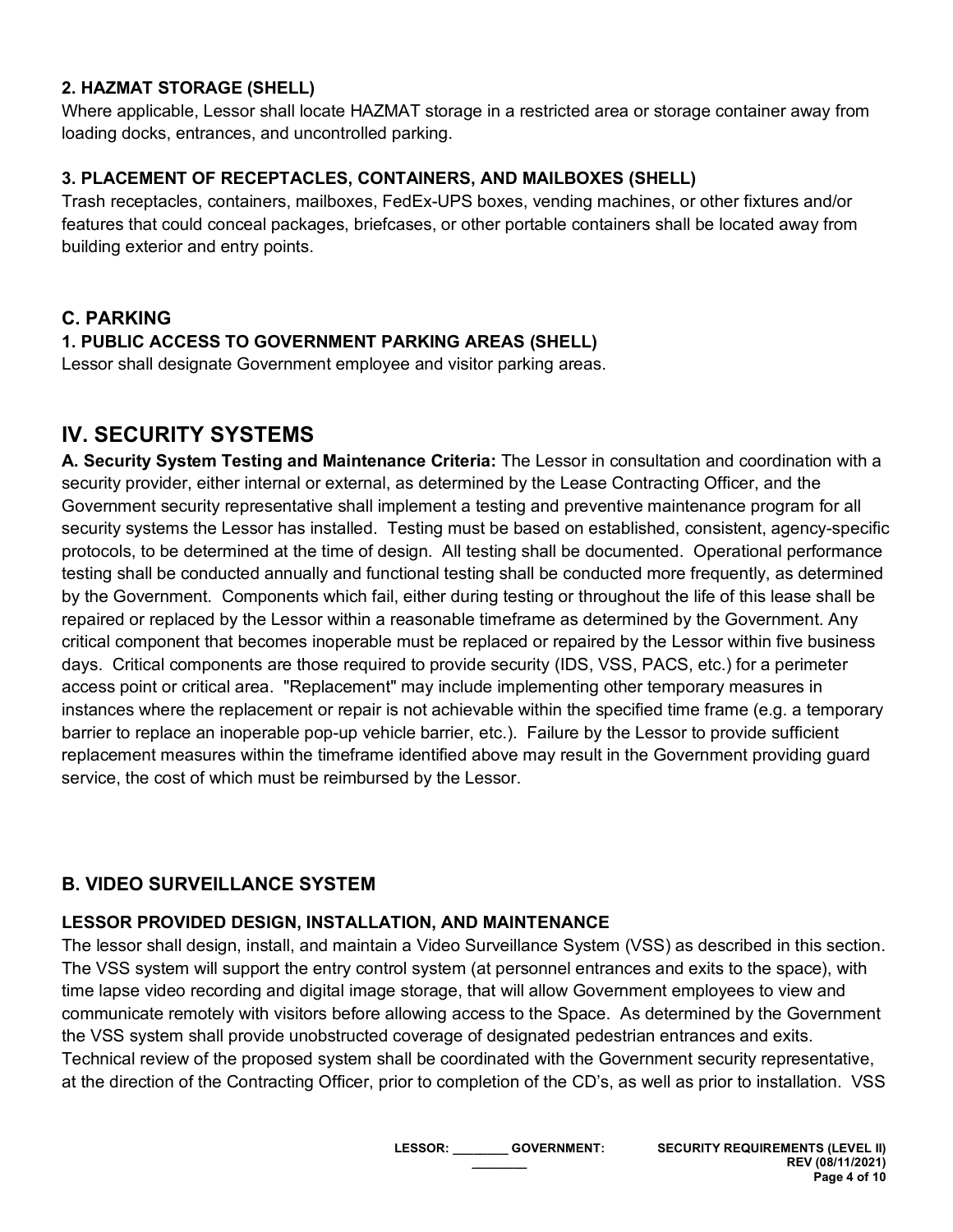#### **2. HAZMAT STORAGE (SHELL)**

Where applicable, Lessor shall locate HAZMAT storage in a restricted area or storage container away from loading docks, entrances, and uncontrolled parking.

#### **3. PLACEMENT OF RECEPTACLES, CONTAINERS, AND MAILBOXES (SHELL)**

Trash receptacles, containers, mailboxes, FedEx-UPS boxes, vending machines, or other fixtures and/or features that could conceal packages, briefcases, or other portable containers shall be located away from building exterior and entry points.

### **C. PARKING**

#### **1. PUBLIC ACCESS TO GOVERNMENT PARKING AREAS (SHELL)**

Lessor shall designate Government employee and visitor parking areas.

# **IV. SECURITY SYSTEMS**

**A. Security System Testing and Maintenance Criteria:** The Lessor in consultation and coordination with a security provider, either internal or external, as determined by the Lease Contracting Officer, and the Government security representative shall implement a testing and preventive maintenance program for all security systems the Lessor has installed. Testing must be based on established, consistent, agency-specific protocols, to be determined at the time of design. All testing shall be documented. Operational performance testing shall be conducted annually and functional testing shall be conducted more frequently, as determined by the Government. Components which fail, either during testing or throughout the life of this lease shall be repaired or replaced by the Lessor within a reasonable timeframe as determined by the Government. Any critical component that becomes inoperable must be replaced or repaired by the Lessor within five business days. Critical components are those required to provide security (IDS, VSS, PACS, etc.) for a perimeter access point or critical area. "Replacement" may include implementing other temporary measures in instances where the replacement or repair is not achievable within the specified time frame (e.g. a temporary barrier to replace an inoperable pop-up vehicle barrier, etc.). Failure by the Lessor to provide sufficient replacement measures within the timeframe identified above may result in the Government providing guard service, the cost of which must be reimbursed by the Lessor.

### **B. VIDEO SURVEILLANCE SYSTEM**

#### **LESSOR PROVIDED DESIGN, INSTALLATION, AND MAINTENANCE**

The lessor shall design, install, and maintain a Video Surveillance System (VSS) as described in this section. The VSS system will support the entry control system (at personnel entrances and exits to the space), with time lapse video recording and digital image storage, that will allow Government employees to view and communicate remotely with visitors before allowing access to the Space. As determined by the Government the VSS system shall provide unobstructed coverage of designated pedestrian entrances and exits. Technical review of the proposed system shall be coordinated with the Government security representative, at the direction of the Contracting Officer, prior to completion of the CD's, as well as prior to installation. VSS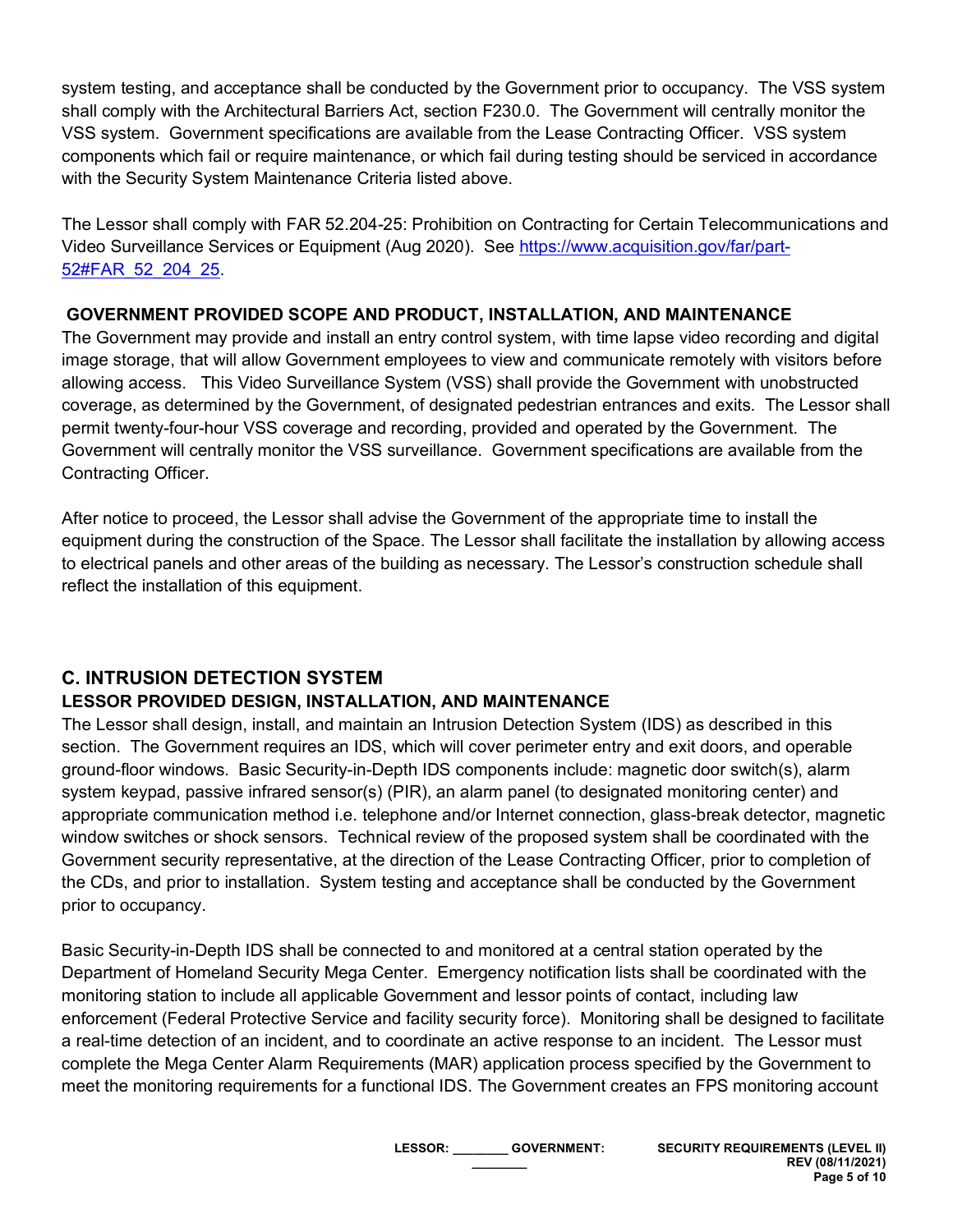system testing, and acceptance shall be conducted by the Government prior to occupancy. The VSS system shall comply with the Architectural Barriers Act, section F230.0. The Government will centrally monitor the VSS system. Government specifications are available from the Lease Contracting Officer. VSS system components which fail or require maintenance, or which fail during testing should be serviced in accordance with the Security System Maintenance Criteria listed above.

The Lessor shall comply with FAR 52.204-25: Prohibition on Contracting for Certain Telecommunications and Video Surveillance Services or Equipment (Aug 2020). See [https://www.acquisition.gov/far/part-](https://www.acquisition.gov/far/part-52#FAR_52_204_25)[52#FAR\\_52\\_204\\_25.](https://www.acquisition.gov/far/part-52#FAR_52_204_25)

### **GOVERNMENT PROVIDED SCOPE AND PRODUCT, INSTALLATION, AND MAINTENANCE**

The Government may provide and install an entry control system, with time lapse video recording and digital image storage, that will allow Government employees to view and communicate remotely with visitors before allowing access. This Video Surveillance System (VSS) shall provide the Government with unobstructed coverage, as determined by the Government, of designated pedestrian entrances and exits. The Lessor shall permit twenty-four-hour VSS coverage and recording, provided and operated by the Government. The Government will centrally monitor the VSS surveillance. Government specifications are available from the Contracting Officer.

After notice to proceed, the Lessor shall advise the Government of the appropriate time to install the equipment during the construction of the Space. The Lessor shall facilitate the installation by allowing access to electrical panels and other areas of the building as necessary. The Lessor's construction schedule shall reflect the installation of this equipment.

# **C. INTRUSION DETECTION SYSTEM**

### **LESSOR PROVIDED DESIGN, INSTALLATION, AND MAINTENANCE**

The Lessor shall design, install, and maintain an Intrusion Detection System (IDS) as described in this section. The Government requires an IDS, which will cover perimeter entry and exit doors, and operable ground-floor windows. Basic Security-in-Depth IDS components include: magnetic door switch(s), alarm system keypad, passive infrared sensor(s) (PIR), an alarm panel (to designated monitoring center) and appropriate communication method i.e. telephone and/or Internet connection, glass-break detector, magnetic window switches or shock sensors. Technical review of the proposed system shall be coordinated with the Government security representative, at the direction of the Lease Contracting Officer, prior to completion of the CDs, and prior to installation. System testing and acceptance shall be conducted by the Government prior to occupancy.

Basic Security-in-Depth IDS shall be connected to and monitored at a central station operated by the Department of Homeland Security Mega Center. Emergency notification lists shall be coordinated with the monitoring station to include all applicable Government and lessor points of contact, including law enforcement (Federal Protective Service and facility security force). Monitoring shall be designed to facilitate a real-time detection of an incident, and to coordinate an active response to an incident. The Lessor must complete the Mega Center Alarm Requirements (MAR) application process specified by the Government to meet the monitoring requirements for a functional IDS. The Government creates an FPS monitoring account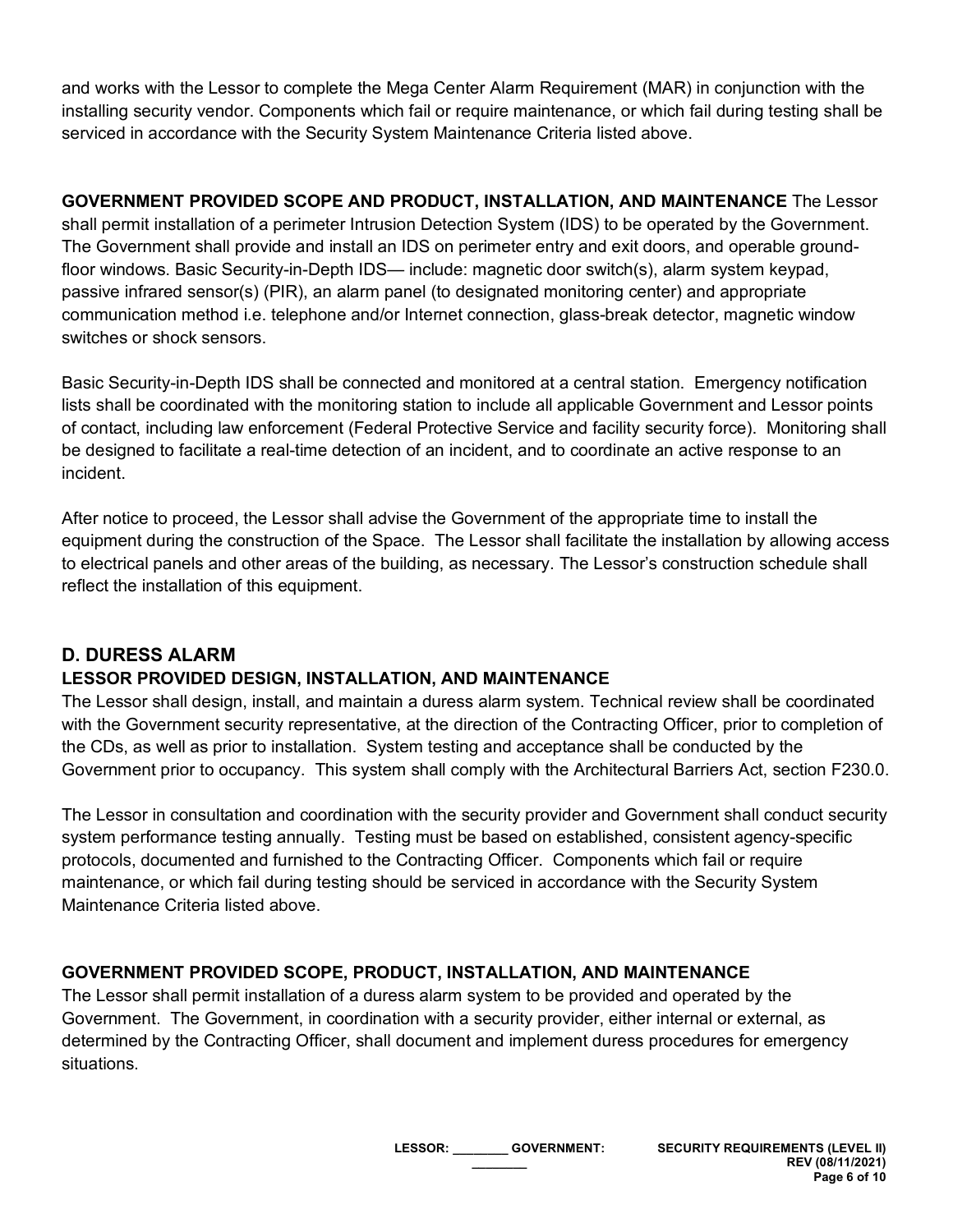and works with the Lessor to complete the Mega Center Alarm Requirement (MAR) in conjunction with the installing security vendor. Components which fail or require maintenance, or which fail during testing shall be serviced in accordance with the Security System Maintenance Criteria listed above.

**GOVERNMENT PROVIDED SCOPE AND PRODUCT, INSTALLATION, AND MAINTENANCE** The Lessor shall permit installation of a perimeter Intrusion Detection System (IDS) to be operated by the Government. The Government shall provide and install an IDS on perimeter entry and exit doors, and operable groundfloor windows. Basic Security-in-Depth IDS— include: magnetic door switch(s), alarm system keypad, passive infrared sensor(s) (PIR), an alarm panel (to designated monitoring center) and appropriate communication method i.e. telephone and/or Internet connection, glass-break detector, magnetic window switches or shock sensors.

Basic Security-in-Depth IDS shall be connected and monitored at a central station. Emergency notification lists shall be coordinated with the monitoring station to include all applicable Government and Lessor points of contact, including law enforcement (Federal Protective Service and facility security force). Monitoring shall be designed to facilitate a real-time detection of an incident, and to coordinate an active response to an incident.

After notice to proceed, the Lessor shall advise the Government of the appropriate time to install the equipment during the construction of the Space. The Lessor shall facilitate the installation by allowing access to electrical panels and other areas of the building, as necessary. The Lessor's construction schedule shall reflect the installation of this equipment.

### **D. DURESS ALARM**

### **LESSOR PROVIDED DESIGN, INSTALLATION, AND MAINTENANCE**

The Lessor shall design, install, and maintain a duress alarm system. Technical review shall be coordinated with the Government security representative, at the direction of the Contracting Officer, prior to completion of the CDs, as well as prior to installation. System testing and acceptance shall be conducted by the Government prior to occupancy. This system shall comply with the Architectural Barriers Act, section F230.0.

The Lessor in consultation and coordination with the security provider and Government shall conduct security system performance testing annually. Testing must be based on established, consistent agency-specific protocols, documented and furnished to the Contracting Officer. Components which fail or require maintenance, or which fail during testing should be serviced in accordance with the Security System Maintenance Criteria listed above.

### **GOVERNMENT PROVIDED SCOPE, PRODUCT, INSTALLATION, AND MAINTENANCE**

The Lessor shall permit installation of a duress alarm system to be provided and operated by the Government. The Government, in coordination with a security provider, either internal or external, as determined by the Contracting Officer, shall document and implement duress procedures for emergency situations.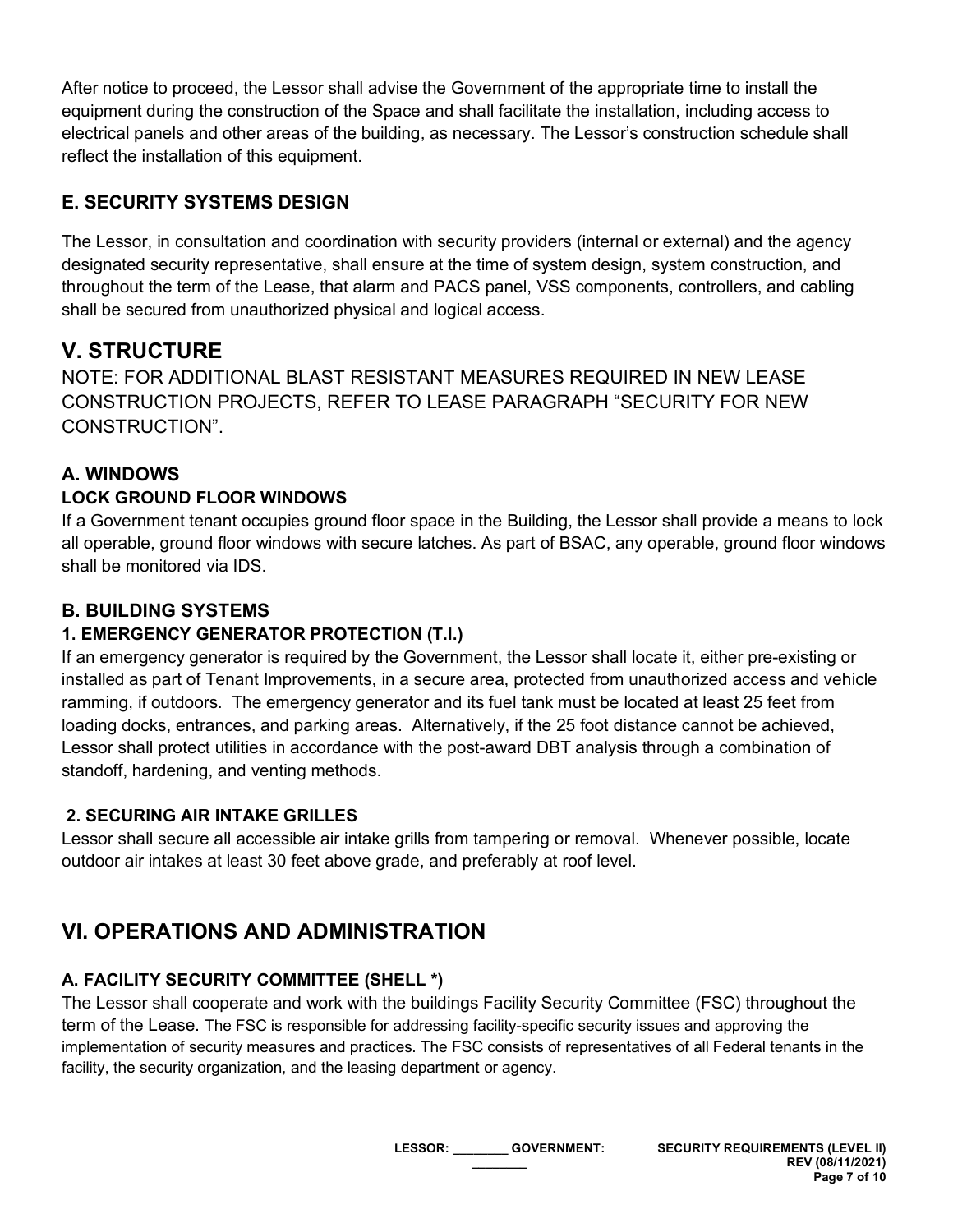After notice to proceed, the Lessor shall advise the Government of the appropriate time to install the equipment during the construction of the Space and shall facilitate the installation, including access to electrical panels and other areas of the building, as necessary. The Lessor's construction schedule shall reflect the installation of this equipment.

### **E. SECURITY SYSTEMS DESIGN**

The Lessor, in consultation and coordination with security providers (internal or external) and the agency designated security representative, shall ensure at the time of system design, system construction, and throughout the term of the Lease, that alarm and PACS panel, VSS components, controllers, and cabling shall be secured from unauthorized physical and logical access.

# **V. STRUCTURE**

NOTE: FOR ADDITIONAL BLAST RESISTANT MEASURES REQUIRED IN NEW LEASE CONSTRUCTION PROJECTS, REFER TO LEASE PARAGRAPH "SECURITY FOR NEW CONSTRUCTION".

### **A. WINDOWS**

### **LOCK GROUND FLOOR WINDOWS**

If a Government tenant occupies ground floor space in the Building, the Lessor shall provide a means to lock all operable, ground floor windows with secure latches. As part of BSAC, any operable, ground floor windows shall be monitored via IDS.

### **B. BUILDING SYSTEMS**

### **1. EMERGENCY GENERATOR PROTECTION (T.I.)**

If an emergency generator is required by the Government, the Lessor shall locate it, either pre-existing or installed as part of Tenant Improvements, in a secure area, protected from unauthorized access and vehicle ramming, if outdoors. The emergency generator and its fuel tank must be located at least 25 feet from loading docks, entrances, and parking areas. Alternatively, if the 25 foot distance cannot be achieved, Lessor shall protect utilities in accordance with the post-award DBT analysis through a combination of standoff, hardening, and venting methods.

#### **2. SECURING AIR INTAKE GRILLES**

Lessor shall secure all accessible air intake grills from tampering or removal. Whenever possible, locate outdoor air intakes at least 30 feet above grade, and preferably at roof level.

# **VI. OPERATIONS AND ADMINISTRATION**

### **A. FACILITY SECURITY COMMITTEE (SHELL \*)**

The Lessor shall cooperate and work with the buildings Facility Security Committee (FSC) throughout the term of the Lease. The FSC is responsible for addressing facility-specific security issues and approving the implementation of security measures and practices. The FSC consists of representatives of all Federal tenants in the facility, the security organization, and the leasing department or agency.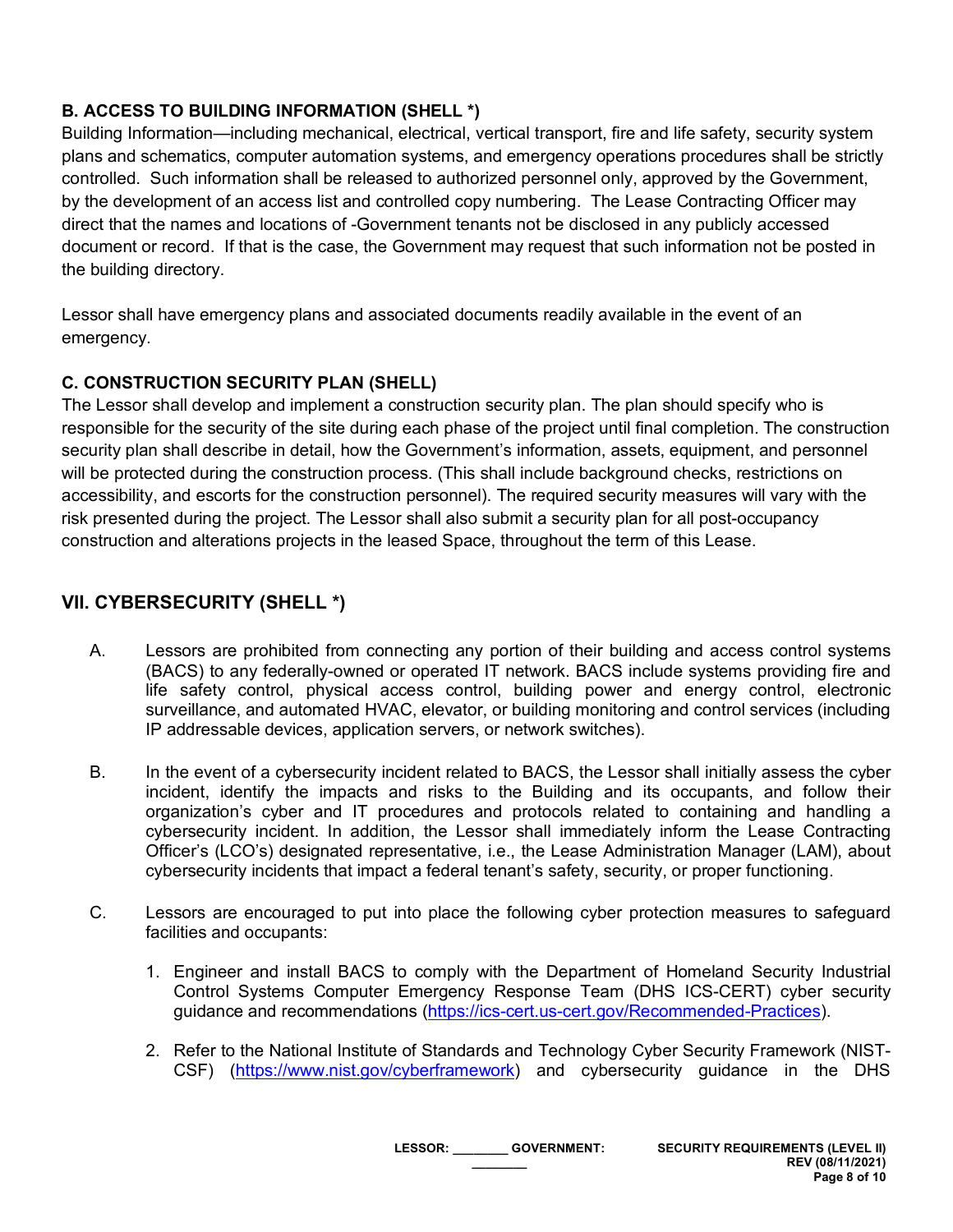### **B. ACCESS TO BUILDING INFORMATION (SHELL \*)**

Building Information—including mechanical, electrical, vertical transport, fire and life safety, security system plans and schematics, computer automation systems, and emergency operations procedures shall be strictly controlled. Such information shall be released to authorized personnel only, approved by the Government, by the development of an access list and controlled copy numbering. The Lease Contracting Officer may direct that the names and locations of -Government tenants not be disclosed in any publicly accessed document or record. If that is the case, the Government may request that such information not be posted in the building directory.

Lessor shall have emergency plans and associated documents readily available in the event of an emergency.

#### **C. CONSTRUCTION SECURITY PLAN (SHELL)**

The Lessor shall develop and implement a construction security plan. The plan should specify who is responsible for the security of the site during each phase of the project until final completion. The construction security plan shall describe in detail, how the Government's information, assets, equipment, and personnel will be protected during the construction process. (This shall include background checks, restrictions on accessibility, and escorts for the construction personnel). The required security measures will vary with the risk presented during the project. The Lessor shall also submit a security plan for all post-occupancy construction and alterations projects in the leased Space, throughout the term of this Lease.

### **VII. CYBERSECURITY (SHELL \*)**

- A. Lessors are prohibited from connecting any portion of their building and access control systems (BACS) to any federally-owned or operated IT network. BACS include systems providing fire and life safety control, physical access control, building power and energy control, electronic surveillance, and automated HVAC, elevator, or building monitoring and control services (including IP addressable devices, application servers, or network switches).
- B. In the event of a cybersecurity incident related to BACS, the Lessor shall initially assess the cyber incident, identify the impacts and risks to the Building and its occupants, and follow their organization's cyber and IT procedures and protocols related to containing and handling a cybersecurity incident. In addition, the Lessor shall immediately inform the Lease Contracting Officer's (LCO's) designated representative, i.e., the Lease Administration Manager (LAM), about cybersecurity incidents that impact a federal tenant's safety, security, or proper functioning.
- C. Lessors are encouraged to put into place the following cyber protection measures to safeguard facilities and occupants:
	- 1. Engineer and install BACS to comply with the Department of Homeland Security Industrial Control Systems Computer Emergency Response Team (DHS ICS-CERT) cyber security guidance and recommendations [\(https://ics-cert.us-cert.gov/Recommended-Practices\)](https://ics-cert.us-cert.gov/Recommended-Practices).
	- 2. Refer to the National Institute of Standards and Technology Cyber Security Framework (NIST-CSF) [\(https://www.nist.gov/cyberframework\)](https://www.nist.gov/cyberframework) and cybersecurity guidance in the DHS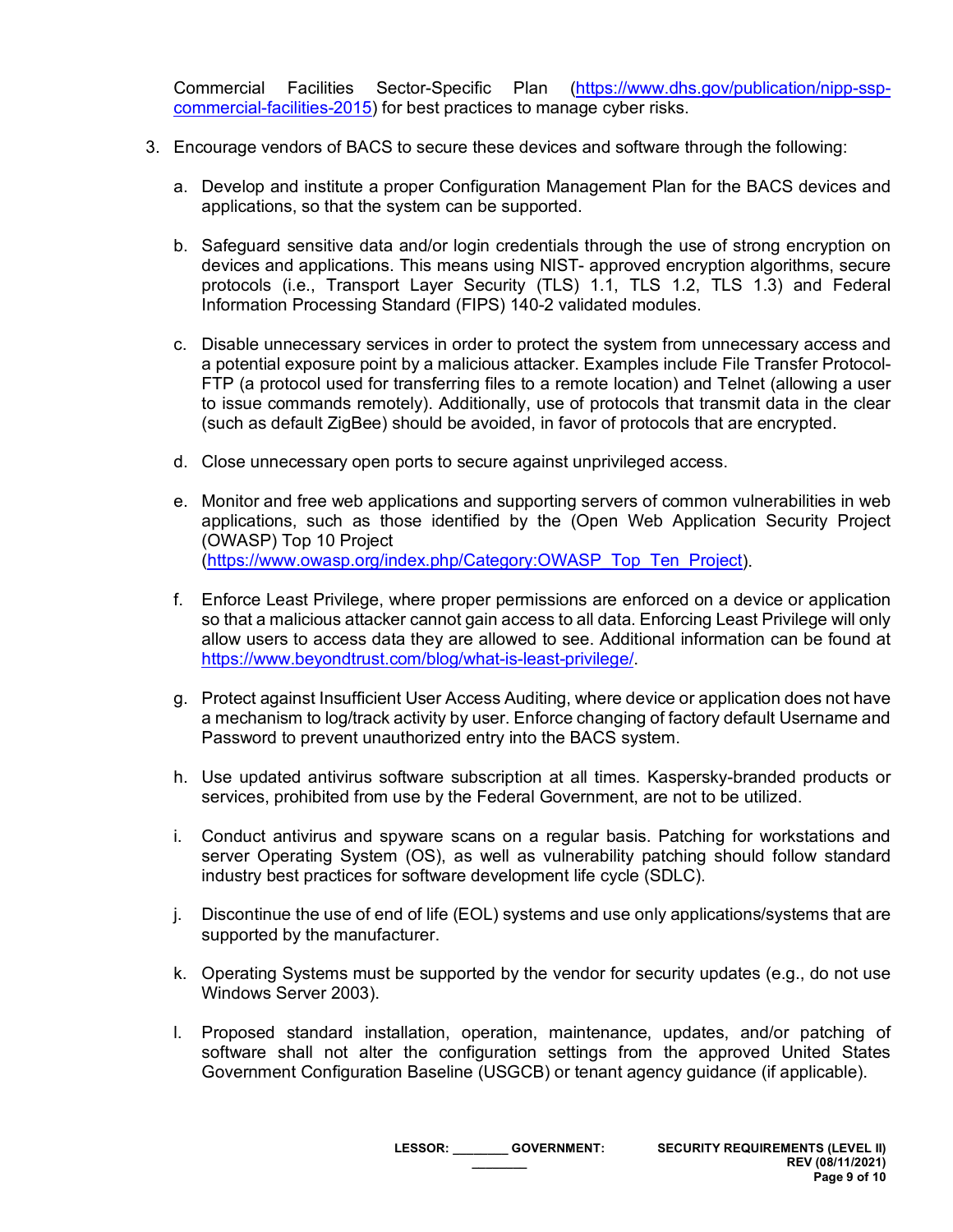Commercial Facilities Sector-Specific Plan [\(https://www.dhs.gov/publication/nipp-ssp](https://www.dhs.gov/publication/nipp-ssp-commercial-facilities-2015)[commercial-facilities-2015\)](https://www.dhs.gov/publication/nipp-ssp-commercial-facilities-2015) for best practices to manage cyber risks.

- 3. Encourage vendors of BACS to secure these devices and software through the following:
	- a. Develop and institute a proper Configuration Management Plan for the BACS devices and applications, so that the system can be supported.
	- b. Safeguard sensitive data and/or login credentials through the use of strong encryption on devices and applications. This means using NIST- approved encryption algorithms, secure protocols (i.e., Transport Layer Security (TLS) 1.1, TLS 1.2, TLS 1.3) and Federal Information Processing Standard (FIPS) 140-2 validated modules.
	- c. Disable unnecessary services in order to protect the system from unnecessary access and a potential exposure point by a malicious attacker. Examples include File Transfer Protocol-FTP (a protocol used for transferring files to a remote location) and Telnet (allowing a user to issue commands remotely). Additionally, use of protocols that transmit data in the clear (such as default ZigBee) should be avoided, in favor of protocols that are encrypted.
	- d. Close unnecessary open ports to secure against unprivileged access.
	- e. Monitor and free web applications and supporting servers of common vulnerabilities in web applications, such as those identified by the (Open Web Application Security Project (OWASP) Top 10 Project [\(https://www.owasp.org/index.php/Category:OWASP\\_Top\\_Ten\\_Project\)](https://www.owasp.org/index.php/Category:OWASP_Top_Ten_Project).
	- f. Enforce Least Privilege, where proper permissions are enforced on a device or application so that a malicious attacker cannot gain access to all data. Enforcing Least Privilege will only allow users to access data they are allowed to see. Additional information can be found at [https://www.beyondtrust.com/blog/what-is-least-privilege/.](https://www.beyondtrust.com/blog/what-is-least-privilege/)
	- g. Protect against Insufficient User Access Auditing, where device or application does not have a mechanism to log/track activity by user. Enforce changing of factory default Username and Password to prevent unauthorized entry into the BACS system.
	- h. Use updated antivirus software subscription at all times. Kaspersky-branded products or services, prohibited from use by the Federal Government, are not to be utilized.
	- i. Conduct antivirus and spyware scans on a regular basis. Patching for workstations and server Operating System (OS), as well as vulnerability patching should follow standard industry best practices for software development life cycle (SDLC).
	- j. Discontinue the use of end of life (EOL) systems and use only applications/systems that are supported by the manufacturer.
	- k. Operating Systems must be supported by the vendor for security updates (e.g., do not use Windows Server 2003).
	- l. Proposed standard installation, operation, maintenance, updates, and/or patching of software shall not alter the configuration settings from the approved United States Government Configuration Baseline (USGCB) or tenant agency guidance (if applicable).